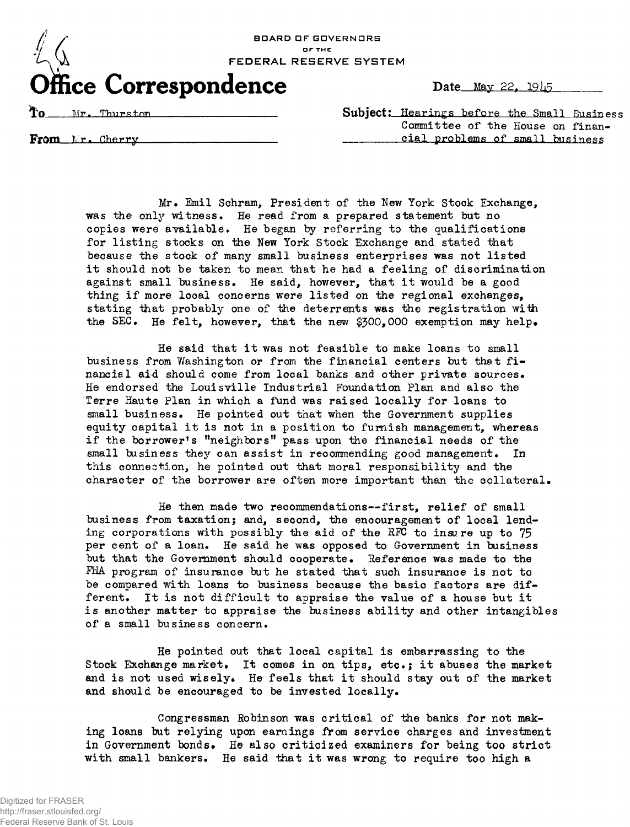

|  |  | Date May 22, 1945 |  |
|--|--|-------------------|--|
|  |  |                   |  |

**Mr. Thurston** Subject: Hearings before the Small Business Committee of the House on finan-**From** Nr. Cherry **cial problems of small business** 

Mr. Emil Schram, President of the New York Stock Exchange, was the only witness. He read from a prepared statement but no copies were available• He began by referring to the qualifications for listing stocks on the New York Stock Exchange and stated that because the stock of many small business enterprises was not listed it should not be taken to mean that he had a feeling of discrimination against small business. He said, however, that it would be a good thing if more local concerns were listed on the regional exchanges, stating that probably one of the deterrents was the registration with the SEC. He felt, however, that the new \$300,000 exemption may help.

He said that it was not feasible to make loans to small business from Washington or from the financial centers but that financial aid should come from local banks and other private sources. He endorsed the Louisville Industrial Foundation Plan and also the Terre Haute Plan in which a fund was raised locally for loans to small business. He pointed out that when the Government supplies equity capital it is not in a position to furnish management, whereas if the borrower's "neighbors" pass upon the financial needs of the small business they can assist in recommending good management. In this connection, he pointed out that moral responsibility and the character of the borrower are often more important than the collateral.

He then made two recommendations--first, relief of small business from taxation; and, second, the encouragement of local lending corporations with possibly the aid of the HFC to insure up to 75 per cent of a loan. He said he was opposed to Government in business but that the Government should cooperate. Reference was made to the FHA program of insurance but he stated that such insurance is not to be compared with loans to business because the basic factors are different. It is not difficult to appraise the value of a house but it is another matter to appraise the business ability and other intangibles of a small business concern.

He pointed out that local capital is embarrassing to the Stock Exchange market. It comes in on tips, etc.; it abuses the market and is not used wisely. He feels that it should stay out of the market and should be encouraged to be invested locally.

Congressman Robinson was critical of the banks for not making loans but relying upon earnings from service charges and investment in Government bonds. He also criticized examiners for being too strict with small bankers. He said that it was wrong to require too high a